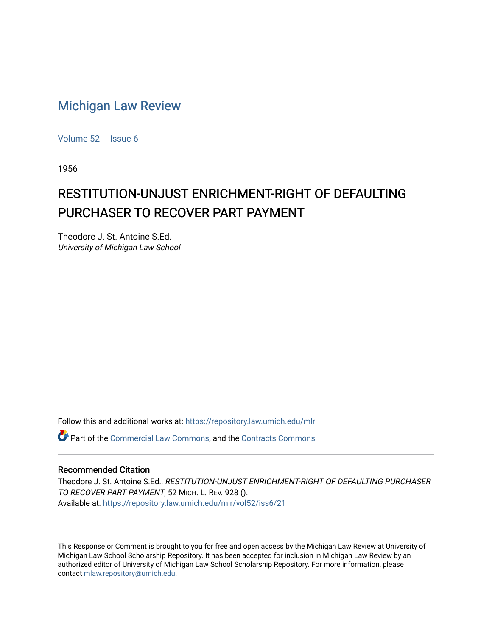## [Michigan Law Review](https://repository.law.umich.edu/mlr)

[Volume 52](https://repository.law.umich.edu/mlr/vol52) | [Issue 6](https://repository.law.umich.edu/mlr/vol52/iss6)

1956

## RESTITUTION-UNJUST ENRICHMENT-RIGHT OF DEFAULTING PURCHASER TO RECOVER PART PAYMENT

Theodore J. St. Antoine S.Ed. University of Michigan Law School

Follow this and additional works at: [https://repository.law.umich.edu/mlr](https://repository.law.umich.edu/mlr?utm_source=repository.law.umich.edu%2Fmlr%2Fvol52%2Fiss6%2F21&utm_medium=PDF&utm_campaign=PDFCoverPages) 

**P** Part of the [Commercial Law Commons](http://network.bepress.com/hgg/discipline/586?utm_source=repository.law.umich.edu%2Fmlr%2Fvol52%2Fiss6%2F21&utm_medium=PDF&utm_campaign=PDFCoverPages), and the [Contracts Commons](http://network.bepress.com/hgg/discipline/591?utm_source=repository.law.umich.edu%2Fmlr%2Fvol52%2Fiss6%2F21&utm_medium=PDF&utm_campaign=PDFCoverPages)

## Recommended Citation

Theodore J. St. Antoine S.Ed., RESTITUTION-UNJUST ENRICHMENT-RIGHT OF DEFAULTING PURCHASER TO RECOVER PART PAYMENT, 52 MICH. L. REV. 928 (). Available at: [https://repository.law.umich.edu/mlr/vol52/iss6/21](https://repository.law.umich.edu/mlr/vol52/iss6/21?utm_source=repository.law.umich.edu%2Fmlr%2Fvol52%2Fiss6%2F21&utm_medium=PDF&utm_campaign=PDFCoverPages) 

This Response or Comment is brought to you for free and open access by the Michigan Law Review at University of Michigan Law School Scholarship Repository. It has been accepted for inclusion in Michigan Law Review by an authorized editor of University of Michigan Law School Scholarship Repository. For more information, please contact [mlaw.repository@umich.edu](mailto:mlaw.repository@umich.edu).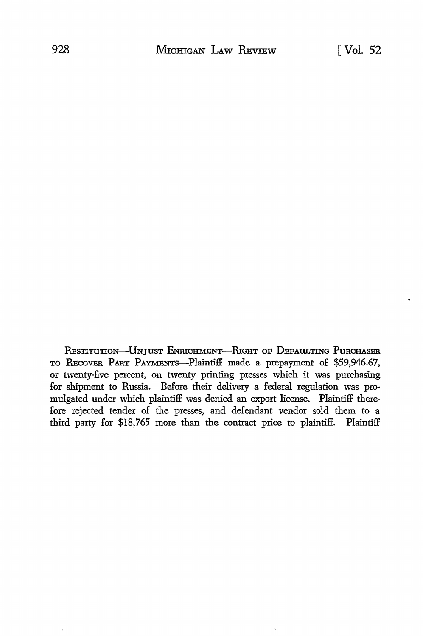RESTITUTION-UNJUST ENRICHMENT-RIGHT OF DEFAULTING PURCHASER TO RECOVER PART PAYMENTS-Plaintiff made a prepayment of \$59,946.67, or twenty-five percent, on twenty printing presses which it was purchasing for shipment to Russia. Before their delivery a federal regulation was promulgated under which plaintiff was denied an export license. Plaintiff therefore rejected tender of the presses, and defendant vendor sold them to a third party for \$18,765 more than the contract price to plaintiff. Plaintiff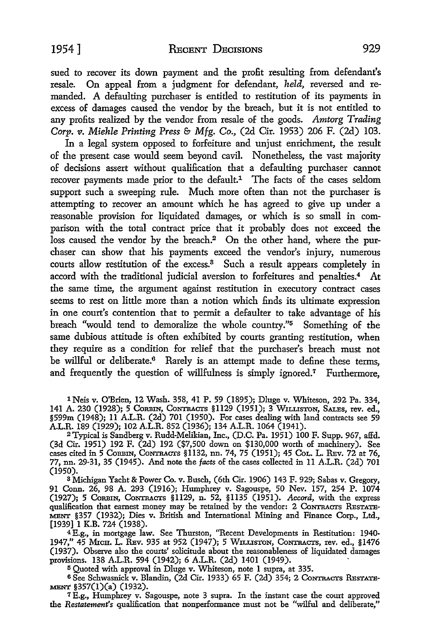sued to recover its down payment and the profit resulting from defendant's resale. On appeal from a judgment for defendant, *held,* reversed and remanded. A defaulting purchaser is entitled to restitution of its payments in excess of damages caused the vendor by the breach, but it is not entitled to any profits realized by the vendor from resale of the goods. *Amtorg Trading Corp.* v. *Miehle Printing Press* & *Mfg. Co.,* (2d Cir. 1953) 206 F. (2d) 103.

In a legal system opposed to forfeiture and unjust enrichment, the result of the present case would seem beyond cavil. Nonetheless, the vast majority of decisions assert without qualification that a defaulting purchaser cannot recover payments made prior to the default.<sup>1</sup> The facts of the cases seldom support such a sweeping rule. Much more often than not the purchaser is attempting to recover an amount which he has agreed to give up under a reasonable provision for liquidated damages, or which is so small in comparison with the total contract price that it probably does not exceed the loss caused the vendor by the breach.<sup>2</sup> On the other hand, where the purchaser can show that his payments exceed the vendor's injury, numerous courts allow restitution of the excess.<sup>3</sup> Such a result appears completely in accord with the traditional judicial aversion to forfeitures and penalties.<sup>4</sup> At the same time, the argument against restitution in executory contract cases seems to rest on little more than a notion which finds its ultimate expression in one court's contention that to permit a defaulter to take advantage of his breach "would tend to demoralize the whole country."5 Something of the same dubious attitude is often exhibited by courts granting restitution, when they require as a condition for relief that the purchaser's breach must not be willful or deliberate.<sup>6</sup> Rarely is an attempt made to define these terms, and frequently the question of willfulness is simply ignored.7 Furthermore,

lNeis v. O'Brien, 12 Wash. 358, 41 P. 59 (1895); Dluge v. Whiteson, 292 Pa. 334, 141 A. 230 (1928); 5 CoRBIN, CoNTRAcrs §1129 (1951); 3 WILLISTON, SALEs, rev. ed., §599m (1948); 11 A.L.R. (2d) 701 (1950). For cases dealing with land contracts see 59 A.L.R. 189 (1929); 102 A.L.R. 852 (1936); 134 A.L.R. 1064 (1941).

<sup>2</sup>Typical is Sandberg v. Rudd-Melikian, Inc., (D.C. Pa. 1951) 100 F. Supp. 967, affd. (3d Cir. 1951) 192 F. (2d) 192 (\$7,500 down on \$130,000 worth of machinery). See cases cited in 5 CORBIN, CoNTRAcrs §1132, nn. 74, 75 (1951); 45 CoL. L. REv. 72 at 76, 77, nn. 29-31, 35 (1945). And note the *facts* of the cases collected in 11 A.L.R. (2d) 701 (1950).

<sup>3</sup>Michigan Yacht & Power Co. v. Busch, (6th Cir. 1906) 143 F. 929; Sabas v. Gregory, 91 Conn. 26, 98 A. 293 (1916); Humphrey v. Sagouspe, 50 Nev. 157, 254 P. 1074 (1927); 5 CoRBIN, CoNTRAcrs §1129, n. 52, §1135 (1951). *Accord,* with the express qualification that earnest money may be retained by the vendor: 2 CoNTRAcrs REsTATE-MENT §357 (1932); Dies v. British and International Mining and Finance Corp., Ltd., [1939] 1 K.B. 724 (1938).

<sup>4</sup>E.g., in mortgage law. See Thurston, "Recent Developments in Restitution: 1940- 1947," 45 MicH. L. REv. 935 at 952 (1947); 5 WILLISTON, CoNTRAcrs, rev. ed., §1476 (1937). Observe also the courts' solicitude about the reasonableness of liquidated damages provisions. 138 A.L.R. 594 (1942); 6 A.L.R. (2d) 1401 (1949). ·

<sup>5</sup>Quoted with approval in Dluge v. Whiteson, note 1 supra, at 335.

6 See Schwasuick v. Blandin, (2d Cir. 1933) 65 F. (2d) 354; 2 CoNTRAcrs REsTATE-MENT §357(l)(a) (1932).

<sup>7</sup>E.g., Humphrey v. Sagouspe, note 3 supra. In the instant case the court approved the *Restatement's* qualification that nonperformance must not be "wilful and deliberate,"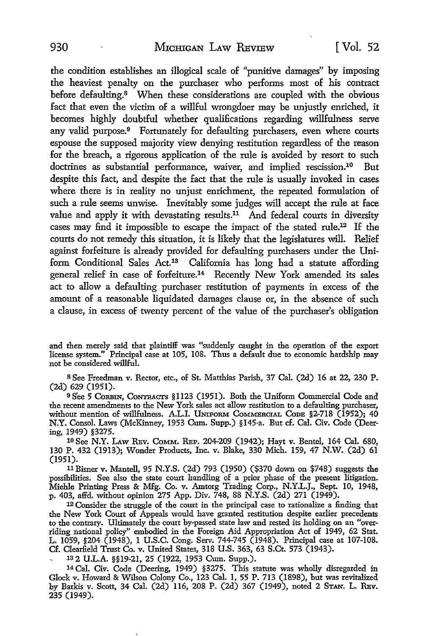the condition establishes an illogical scale of "punitive damages" by imposing the heaviest penalty on the purchaser who performs most of his contract before defaulting.<sup>8</sup> When these considerations are coupled with the obvious fact that even the victim of a willful wrongdoer may be unjustly enriched, it becomes highly doubtful whether qualifications regarding willfulness serve any valid purpose.<sup>9</sup> Fortunately for defaulting purchasers, even where courts espouse the supposed majority view denying restitution regardless of the reason for the breach, a rigorous application of the rule is avoided by resort to such doctrines as substantial performance, waiver, and implied rescission.<sup>10</sup> But despite this fact, and despite the fact that the rule is usually invoked in cases where there is in reality no unjust enrichment, the repeated formulation of such a rule seems unwise. Inevitably some judges will accept the rule at face value and apply it with devastating results.<sup>11</sup> And federal courts in diversity cases may find it impossible to escape the impact of the stated rule.12 If the courts do not remedy this situation, it is likely that the legislatures will. Relief against forfeiture is already provided for defaulting purchasers under the Uniform Conditional Sales Act.13 California has long had a statute affording general relief in case of forfeiture.14 Recently New York amended its sales act to allow a defaulting purchaser restitution of payments in excess of the amount of a reasonable liquidated damages clause or, in the absence of such a clause, in excess of twenty percent of the value of the purchaser's obligation

and then merely said that plaintiff was "suddenly caught in the operation of the export license system." Principal case at 105, 108. Thus a default due to economic hardship may not be considered willful.

<sup>8</sup>See Freedman v. Rector, etc., of St. Matthias Parish, 37 Cal. (2d) 16 at 22, 230 P. (2d) 629 (1951).

<sup>9</sup> See 5 CORBIN, CONTRACTS §1123 (1951). Both the Uniform Commercial Code and the recent amendments to the New York sales act allow restitution to a defaulting purchaser, without mention of willfulness. A.L.I. UNIFORM COMMERCIAL CODE §2-718 (1952); 40 **N.Y.** Consol. Laws (McKinney, 1953 Cum. Supp.) §145-a. But cf. Cal. Civ. Code (Deering, 1949) §3275.

10 See N.Y. LAW RBv. CoMM, REP. 204-209 (1942); Hayt v. Bente!, 164 Cal. 680, 130 P. 432 (1913); Wonder Products, Inc. v. Blake, 330 Mich. 159, 47 N.W. (2d) 61 (1951).

<sup>11</sup>Eisner v. Mantell, 95 N.Y.S. (2d) 793 (1950) (\$370 down on \$748) suggests the possibilities. See also the state court handling of a prior phase of the present litigation. Miehle Printing Press & Mfg. Co. v. Amtorg Trading Corp., N.Y.L.J., Sept. IO, 1948, p. 403, affd. without opinion 275 App. Div. 748, 88 N.Y.S. (2d) 271 (1949).

<sup>12</sup> Consider the struggle of the court in the principal case to rationalize a finding that the New York Court of Appeals would have granted restitution despite earlier precedents to the contrary. Ultimately the court by-passed state law and rested its holding on an "overriding national policy" embodied in the Foreign Aid Appropriation Act of 1949, 62 Stat. L. 1059, §204 (1948), I U.S.C. Cong. Serv. 744-745 (1948). Principal case at 107-108. Cf. Clear£eld Trust Co. v. United States, 318 U.S. 363, 63 S.Ct. 573 (1943).

1a2 U.L.A. §§19-21, 25 (1922, 1953 Cum. Supp.).

14 Cal. Civ. Code (Deering, 1949) §3275. This statute was wholly disregarded in Glock v. Howard & Wilson Colony Co., 123 Cal. I, 55 P. 713 (1898), but was revitalized by Barkis v. Scott, 34 Cal. (2d) II6, 208 P. (2d) 367 (1949), noted 2 STAN. L. RBv. 235 (1949).